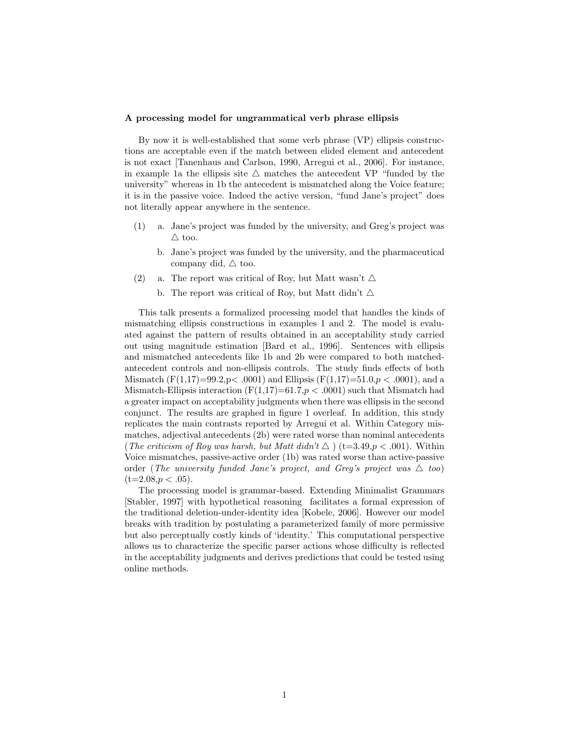## A processing model for ungrammatical verb phrase ellipsis

By now it is well-established that some verb phrase (VP) ellipsis constructions are acceptable even if the match between elided element and antecedent is not exact [Tanenhaus and Carlson, 1990, Arregui et al., 2006]. For instance, in example 1a the ellipsis site  $\triangle$  matches the antecedent VP "funded by the university" whereas in 1b the antecedent is mismatched along the Voice feature; it is in the passive voice. Indeed the active version, "fund Jane's project" does not literally appear anywhere in the sentence.

- (1) a. Jane's project was funded by the university, and Greg's project was  $\triangle$  too.
	- b. Jane's project was funded by the university, and the pharmaceutical company did,  $\triangle$  too.
- (2) a. The report was critical of Roy, but Matt wasn't  $\triangle$ 
	- b. The report was critical of Roy, but Matt didn't  $\Delta$

This talk presents a formalized processing model that handles the kinds of mismatching ellipsis constructions in examples 1 and 2. The model is evaluated against the pattern of results obtained in an acceptability study carried out using magnitude estimation [Bard et al., 1996]. Sentences with ellipsis and mismatched antecedents like 1b and 2b were compared to both matchedantecedent controls and non-ellipsis controls. The study finds effects of both Mismatch  $(F(1,17)=99.2, p<.0001)$  and Ellipsis  $(F(1,17)=51.0, p<.0001)$ , and a Mismatch-Ellipsis interaction  $(F(1,17)=61.7, p < .0001)$  such that Mismatch had a greater impact on acceptability judgments when there was ellipsis in the second conjunct. The results are graphed in figure 1 overleaf. In addition, this study replicates the main contrasts reported by Arregui et al. Within Category mismatches, adjectival antecedents (2b) were rated worse than nominal antecedents (The criticism of Roy was harsh, but Matt didn't  $\triangle$ ) (t=3.49,p < .001). Within Voice mismatches, passive-active order (1b) was rated worse than active-passive order (The university funded Jane's project, and Greg's project was  $\triangle$  too)  $(t=2.08, p < .05)$ .

The processing model is grammar-based. Extending Minimalist Grammars [Stabler, 1997] with hypothetical reasoning facilitates a formal expression of the traditional deletion-under-identity idea [Kobele, 2006]. However our model breaks with tradition by postulating a parameterized family of more permissive but also perceptually costly kinds of 'identity.' This computational perspective allows us to characterize the specific parser actions whose difficulty is reflected in the acceptability judgments and derives predictions that could be tested using online methods.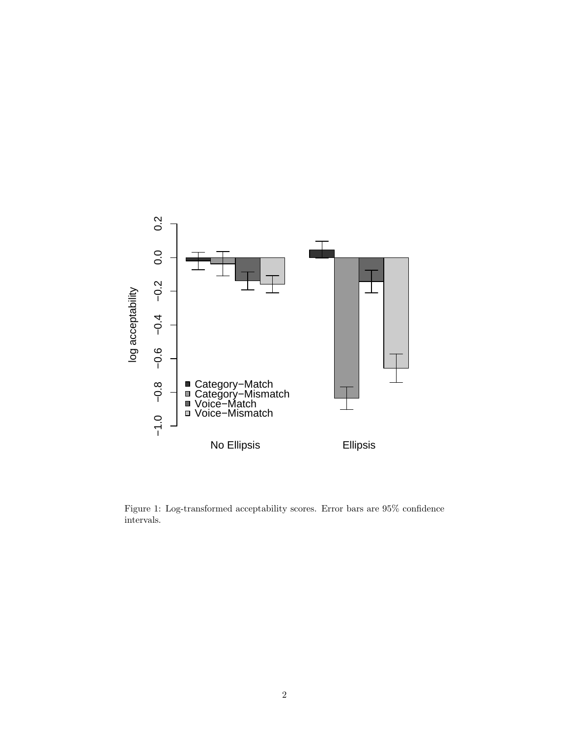

Figure 1: Log-transformed acceptability scores. Error bars are 95% confidence intervals.